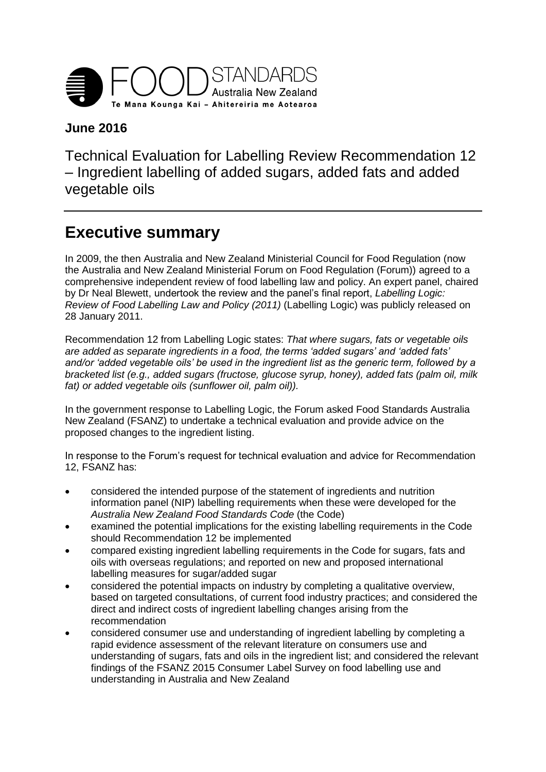

## **June 2016**

Technical Evaluation for Labelling Review Recommendation 12 – Ingredient labelling of added sugars, added fats and added vegetable oils

## <span id="page-0-0"></span>**Executive summary**

In 2009, the then Australia and New Zealand Ministerial Council for Food Regulation (now the Australia and New Zealand Ministerial Forum on Food Regulation (Forum)) agreed to a comprehensive independent review of food labelling law and policy. An expert panel, chaired by Dr Neal Blewett, undertook the review and the panel's final report, *Labelling Logic: Review of Food Labelling Law and Policy (2011)* (Labelling Logic) was publicly released on 28 January 2011.

Recommendation 12 from Labelling Logic states: *That where sugars, fats or vegetable oils are added as separate ingredients in a food, the terms 'added sugars' and 'added fats' and/or 'added vegetable oils' be used in the ingredient list as the generic term, followed by a bracketed list (e.g., added sugars (fructose, glucose syrup, honey), added fats (palm oil, milk fat) or added vegetable oils (sunflower oil, palm oil)).*

In the government response to Labelling Logic, the Forum asked Food Standards Australia New Zealand (FSANZ) to undertake a technical evaluation and provide advice on the proposed changes to the ingredient listing.

In response to the Forum's request for technical evaluation and advice for Recommendation 12, FSANZ has:

- considered the intended purpose of the statement of ingredients and nutrition information panel (NIP) labelling requirements when these were developed for the *Australia New Zealand Food Standards Code* (the Code)
- examined the potential implications for the existing labelling requirements in the Code should Recommendation 12 be implemented
- compared existing ingredient labelling requirements in the Code for sugars, fats and oils with overseas regulations; and reported on new and proposed international labelling measures for sugar/added sugar
- considered the potential impacts on industry by completing a qualitative overview, based on targeted consultations, of current food industry practices; and considered the direct and indirect costs of ingredient labelling changes arising from the recommendation
- considered consumer use and understanding of ingredient labelling by completing a rapid evidence assessment of the relevant literature on consumers use and understanding of sugars, fats and oils in the ingredient list; and considered the relevant findings of the FSANZ 2015 Consumer Label Survey on food labelling use and understanding in Australia and New Zealand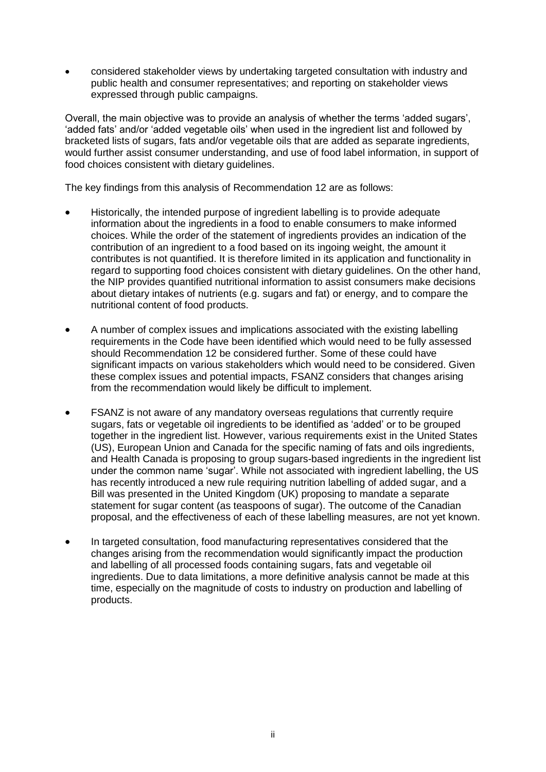considered stakeholder views by undertaking targeted consultation with industry and public health and consumer representatives; and reporting on stakeholder views expressed through public campaigns.

Overall, the main objective was to provide an analysis of whether the terms 'added sugars', 'added fats' and/or 'added vegetable oils' when used in the ingredient list and followed by bracketed lists of sugars, fats and/or vegetable oils that are added as separate ingredients, would further assist consumer understanding, and use of food label information, in support of food choices consistent with dietary guidelines.

The key findings from this analysis of Recommendation 12 are as follows:

- Historically, the intended purpose of ingredient labelling is to provide adequate information about the ingredients in a food to enable consumers to make informed choices. While the order of the statement of ingredients provides an indication of the contribution of an ingredient to a food based on its ingoing weight, the amount it contributes is not quantified. It is therefore limited in its application and functionality in regard to supporting food choices consistent with dietary guidelines. On the other hand, the NIP provides quantified nutritional information to assist consumers make decisions about dietary intakes of nutrients (e.g. sugars and fat) or energy, and to compare the nutritional content of food products.
- A number of complex issues and implications associated with the existing labelling requirements in the Code have been identified which would need to be fully assessed should Recommendation 12 be considered further. Some of these could have significant impacts on various stakeholders which would need to be considered. Given these complex issues and potential impacts, FSANZ considers that changes arising from the recommendation would likely be difficult to implement.
- FSANZ is not aware of any mandatory overseas regulations that currently require sugars, fats or vegetable oil ingredients to be identified as 'added' or to be grouped together in the ingredient list. However, various requirements exist in the United States (US), European Union and Canada for the specific naming of fats and oils ingredients, and Health Canada is proposing to group sugars-based ingredients in the ingredient list under the common name 'sugar'. While not associated with ingredient labelling, the US has recently introduced a new rule requiring nutrition labelling of added sugar, and a Bill was presented in the United Kingdom (UK) proposing to mandate a separate statement for sugar content (as teaspoons of sugar). The outcome of the Canadian proposal, and the effectiveness of each of these labelling measures, are not yet known.
- In targeted consultation, food manufacturing representatives considered that the changes arising from the recommendation would significantly impact the production and labelling of all processed foods containing sugars, fats and vegetable oil ingredients. Due to data limitations, a more definitive analysis cannot be made at this time, especially on the magnitude of costs to industry on production and labelling of products.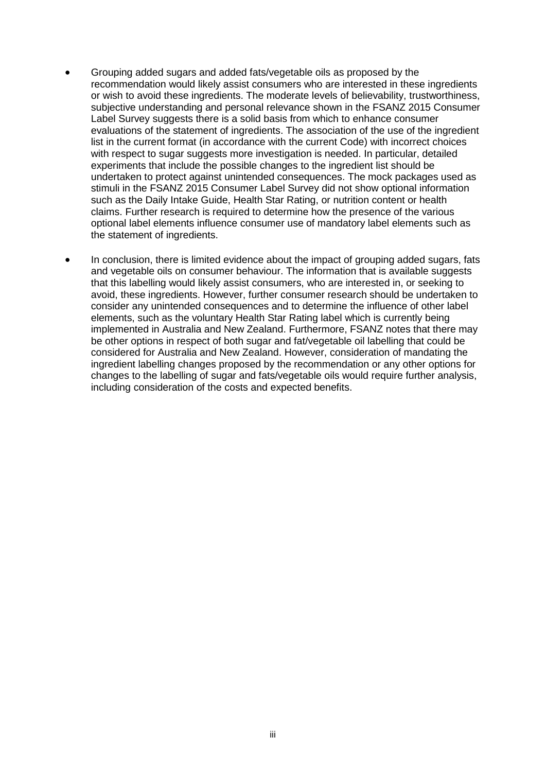- Grouping added sugars and added fats/vegetable oils as proposed by the recommendation would likely assist consumers who are interested in these ingredients or wish to avoid these ingredients. The moderate levels of believability, trustworthiness, subjective understanding and personal relevance shown in the FSANZ 2015 Consumer Label Survey suggests there is a solid basis from which to enhance consumer evaluations of the statement of ingredients. The association of the use of the ingredient list in the current format (in accordance with the current Code) with incorrect choices with respect to sugar suggests more investigation is needed. In particular, detailed experiments that include the possible changes to the ingredient list should be undertaken to protect against unintended consequences. The mock packages used as stimuli in the FSANZ 2015 Consumer Label Survey did not show optional information such as the Daily Intake Guide, Health Star Rating, or nutrition content or health claims. Further research is required to determine how the presence of the various optional label elements influence consumer use of mandatory label elements such as the statement of ingredients.
- In conclusion, there is limited evidence about the impact of grouping added sugars, fats and vegetable oils on consumer behaviour. The information that is available suggests that this labelling would likely assist consumers, who are interested in, or seeking to avoid, these ingredients. However, further consumer research should be undertaken to consider any unintended consequences and to determine the influence of other label elements, such as the voluntary Health Star Rating label which is currently being implemented in Australia and New Zealand. Furthermore, FSANZ notes that there may be other options in respect of both sugar and fat/vegetable oil labelling that could be considered for Australia and New Zealand. However, consideration of mandating the ingredient labelling changes proposed by the recommendation or any other options for changes to the labelling of sugar and fats/vegetable oils would require further analysis, including consideration of the costs and expected benefits.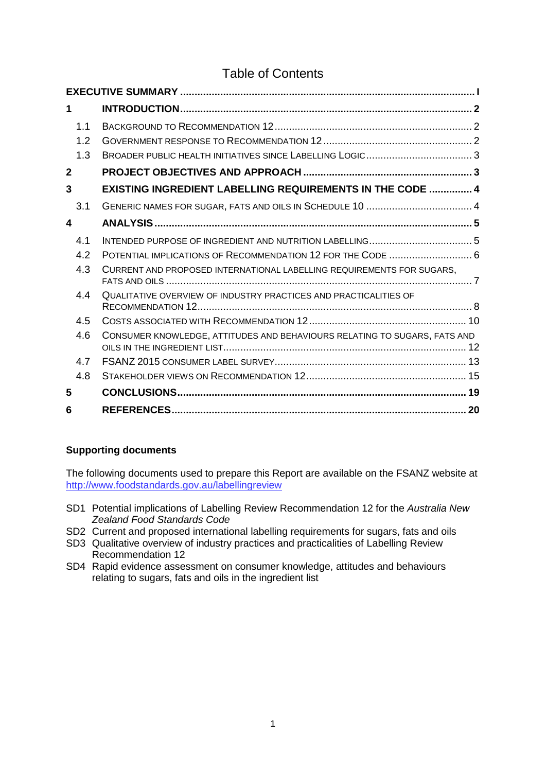## Table of Contents

| 1            |                                                                           |  |
|--------------|---------------------------------------------------------------------------|--|
| 1.1          |                                                                           |  |
| 1.2          |                                                                           |  |
| 1.3          |                                                                           |  |
| $\mathbf{2}$ |                                                                           |  |
| 3            | <b>EXISTING INGREDIENT LABELLING REQUIREMENTS IN THE CODE  4</b>          |  |
| 3.1          |                                                                           |  |
| 4            |                                                                           |  |
| 4.1          |                                                                           |  |
| 4.2          | POTENTIAL IMPLICATIONS OF RECOMMENDATION 12 FOR THE CODE  6               |  |
| 4.3          | CURRENT AND PROPOSED INTERNATIONAL LABELLING REQUIREMENTS FOR SUGARS,     |  |
| 44           | QUALITATIVE OVERVIEW OF INDUSTRY PRACTICES AND PRACTICALITIES OF          |  |
| 4.5          |                                                                           |  |
| 4.6          | CONSUMER KNOWLEDGE, ATTITUDES AND BEHAVIOURS RELATING TO SUGARS, FATS AND |  |
| 4.7          |                                                                           |  |
| 4.8          |                                                                           |  |
| 5            |                                                                           |  |
| 6            |                                                                           |  |

#### **Supporting documents**

The following documents used to prepare this Report are available on the FSANZ website at [http://www.foodstandards.gov.au/labellingreview](http://www.foodstandards.gov.au/consumer/labelling/review/pages/default.aspx)

- SD1 Potential implications of Labelling Review Recommendation 12 for the *Australia New Zealand Food Standards Code*
- SD2 Current and proposed international labelling requirements for sugars, fats and oils
- SD3 Qualitative overview of industry practices and practicalities of Labelling Review Recommendation 12
- SD4 Rapid evidence assessment on consumer knowledge, attitudes and behaviours relating to sugars, fats and oils in the ingredient list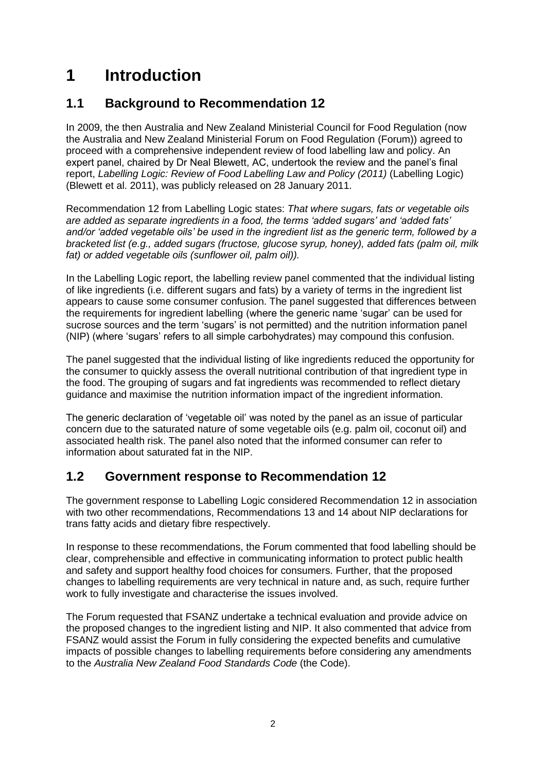## <span id="page-4-0"></span>**1 Introduction**

## <span id="page-4-1"></span>**1.1 Background to Recommendation 12**

In 2009, the then Australia and New Zealand Ministerial Council for Food Regulation (now the Australia and New Zealand Ministerial Forum on Food Regulation (Forum)) agreed to proceed with a comprehensive independent review of food labelling law and policy. An expert panel, chaired by Dr Neal Blewett, AC, undertook the review and the panel's final report, *Labelling Logic: Review of Food Labelling Law and Policy (2011)* (Labelling Logic) (Blewett et al. 2011), was publicly released on 28 January 2011.

Recommendation 12 from Labelling Logic states: *That where sugars, fats or vegetable oils are added as separate ingredients in a food, the terms 'added sugars' and 'added fats' and/or 'added vegetable oils' be used in the ingredient list as the generic term, followed by a bracketed list (e.g., added sugars (fructose, glucose syrup, honey), added fats (palm oil, milk fat) or added vegetable oils (sunflower oil, palm oil)).*

In the Labelling Logic report, the labelling review panel commented that the individual listing of like ingredients (i.e. different sugars and fats) by a variety of terms in the ingredient list appears to cause some consumer confusion. The panel suggested that differences between the requirements for ingredient labelling (where the generic name 'sugar' can be used for sucrose sources and the term 'sugars' is not permitted) and the nutrition information panel (NIP) (where 'sugars' refers to all simple carbohydrates) may compound this confusion.

The panel suggested that the individual listing of like ingredients reduced the opportunity for the consumer to quickly assess the overall nutritional contribution of that ingredient type in the food. The grouping of sugars and fat ingredients was recommended to reflect dietary guidance and maximise the nutrition information impact of the ingredient information.

The generic declaration of 'vegetable oil' was noted by the panel as an issue of particular concern due to the saturated nature of some vegetable oils (e.g. palm oil, coconut oil) and associated health risk. The panel also noted that the informed consumer can refer to information about saturated fat in the NIP.

## <span id="page-4-2"></span>**1.2 Government response to Recommendation 12**

The government response to Labelling Logic considered Recommendation 12 in association with two other recommendations, Recommendations 13 and 14 about NIP declarations for trans fatty acids and dietary fibre respectively.

In response to these recommendations, the Forum commented that food labelling should be clear, comprehensible and effective in communicating information to protect public health and safety and support healthy food choices for consumers. Further, that the proposed changes to labelling requirements are very technical in nature and, as such, require further work to fully investigate and characterise the issues involved.

The Forum requested that FSANZ undertake a technical evaluation and provide advice on the proposed changes to the ingredient listing and NIP. It also commented that advice from FSANZ would assist the Forum in fully considering the expected benefits and cumulative impacts of possible changes to labelling requirements before considering any amendments to the *Australia New Zealand Food Standards Code* (the Code).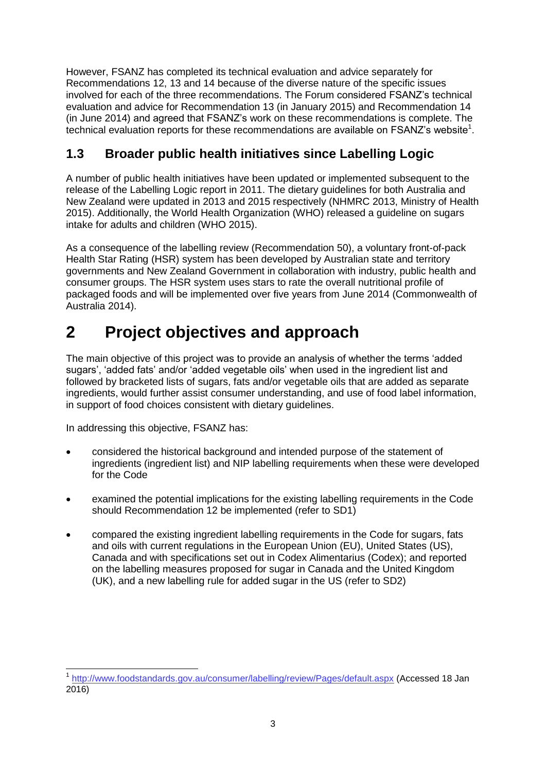However, FSANZ has completed its technical evaluation and advice separately for Recommendations 12, 13 and 14 because of the diverse nature of the specific issues involved for each of the three recommendations. The Forum considered FSANZ's technical evaluation and advice for Recommendation 13 (in January 2015) and Recommendation 14 (in June 2014) and agreed that FSANZ's work on these recommendations is complete. The technical evaluation reports for these recommendations are available on FSANZ's website<sup>1</sup>.

## <span id="page-5-0"></span>**1.3 Broader public health initiatives since Labelling Logic**

A number of public health initiatives have been updated or implemented subsequent to the release of the Labelling Logic report in 2011. The dietary guidelines for both Australia and New Zealand were updated in 2013 and 2015 respectively (NHMRC 2013, Ministry of Health 2015). Additionally, the World Health Organization (WHO) released a guideline on sugars intake for adults and children (WHO 2015).

As a consequence of the labelling review (Recommendation 50), a voluntary front-of-pack Health Star Rating (HSR) system has been developed by Australian state and territory governments and New Zealand Government in collaboration with industry, public health and consumer groups. The HSR system uses stars to rate the overall nutritional profile of packaged foods and will be implemented over five years from June 2014 (Commonwealth of Australia 2014).

# <span id="page-5-1"></span>**2 Project objectives and approach**

The main objective of this project was to provide an analysis of whether the terms 'added sugars', 'added fats' and/or 'added vegetable oils' when used in the ingredient list and followed by bracketed lists of sugars, fats and/or vegetable oils that are added as separate ingredients, would further assist consumer understanding, and use of food label information, in support of food choices consistent with dietary guidelines.

In addressing this objective, FSANZ has:

 $\overline{a}$ 

- considered the historical background and intended purpose of the statement of ingredients (ingredient list) and NIP labelling requirements when these were developed for the Code
- examined the potential implications for the existing labelling requirements in the Code should Recommendation 12 be implemented (refer to SD1)
- compared the existing ingredient labelling requirements in the Code for sugars, fats and oils with current regulations in the European Union (EU), United States (US), Canada and with specifications set out in Codex Alimentarius (Codex); and reported on the labelling measures proposed for sugar in Canada and the United Kingdom (UK), and a new labelling rule for added sugar in the US (refer to SD2)

<sup>1</sup> <http://www.foodstandards.gov.au/consumer/labelling/review/Pages/default.aspx> (Accessed 18 Jan 2016)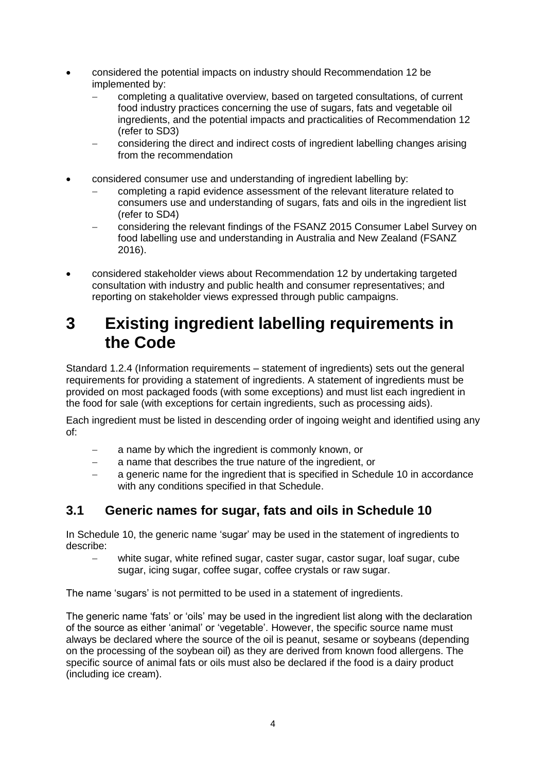- considered the potential impacts on industry should Recommendation 12 be implemented by:
	- completing a qualitative overview, based on targeted consultations, of current food industry practices concerning the use of sugars, fats and vegetable oil ingredients, and the potential impacts and practicalities of Recommendation 12 (refer to SD3)
	- considering the direct and indirect costs of ingredient labelling changes arising from the recommendation
- considered consumer use and understanding of ingredient labelling by:
	- completing a rapid evidence assessment of the relevant literature related to consumers use and understanding of sugars, fats and oils in the ingredient list (refer to SD4)
	- considering the relevant findings of the FSANZ 2015 Consumer Label Survey on food labelling use and understanding in Australia and New Zealand (FSANZ 2016).
- considered stakeholder views about Recommendation 12 by undertaking targeted consultation with industry and public health and consumer representatives; and reporting on stakeholder views expressed through public campaigns.

## <span id="page-6-0"></span>**3 Existing ingredient labelling requirements in the Code**

Standard 1.2.4 (Information requirements – statement of ingredients) sets out the general requirements for providing a statement of ingredients. A statement of ingredients must be provided on most packaged foods (with some exceptions) and must list each ingredient in the food for sale (with exceptions for certain ingredients, such as processing aids).

Each ingredient must be listed in descending order of ingoing weight and identified using any of:

- a name by which the ingredient is commonly known, or
- a name that describes the true nature of the ingredient, or
- a generic name for the ingredient that is specified in Schedule 10 in accordance with any conditions specified in that Schedule.

#### <span id="page-6-1"></span>**3.1 Generic names for sugar, fats and oils in Schedule 10**

In Schedule 10, the generic name 'sugar' may be used in the statement of ingredients to describe:

 white sugar, white refined sugar, caster sugar, castor sugar, loaf sugar, cube sugar, icing sugar, coffee sugar, coffee crystals or raw sugar.

The name 'sugars' is not permitted to be used in a statement of ingredients.

The generic name 'fats' or 'oils' may be used in the ingredient list along with the declaration of the source as either 'animal' or 'vegetable'. However, the specific source name must always be declared where the source of the oil is peanut, sesame or soybeans (depending on the processing of the soybean oil) as they are derived from known food allergens. The specific source of animal fats or oils must also be declared if the food is a dairy product (including ice cream).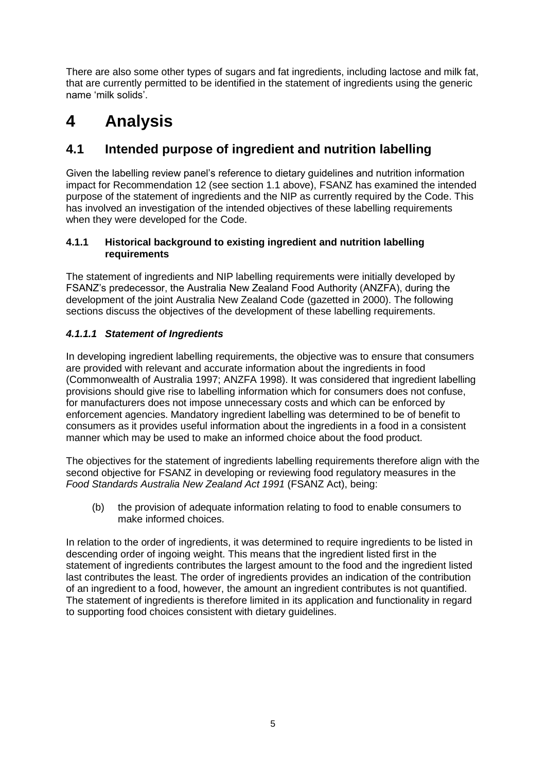There are also some other types of sugars and fat ingredients, including lactose and milk fat, that are currently permitted to be identified in the statement of ingredients using the generic name 'milk solids'.

# <span id="page-7-0"></span>**4 Analysis**

## <span id="page-7-1"></span>**4.1 Intended purpose of ingredient and nutrition labelling**

Given the labelling review panel's reference to dietary guidelines and nutrition information impact for Recommendation 12 (see section 1.1 above), FSANZ has examined the intended purpose of the statement of ingredients and the NIP as currently required by the Code. This has involved an investigation of the intended objectives of these labelling requirements when they were developed for the Code.

#### **4.1.1 Historical background to existing ingredient and nutrition labelling requirements**

The statement of ingredients and NIP labelling requirements were initially developed by FSANZ's predecessor, the Australia New Zealand Food Authority (ANZFA), during the development of the joint Australia New Zealand Code (gazetted in 2000). The following sections discuss the objectives of the development of these labelling requirements.

#### *4.1.1.1 Statement of Ingredients*

In developing ingredient labelling requirements, the objective was to ensure that consumers are provided with relevant and accurate information about the ingredients in food (Commonwealth of Australia 1997; ANZFA 1998). It was considered that ingredient labelling provisions should give rise to labelling information which for consumers does not confuse, for manufacturers does not impose unnecessary costs and which can be enforced by enforcement agencies. Mandatory ingredient labelling was determined to be of benefit to consumers as it provides useful information about the ingredients in a food in a consistent manner which may be used to make an informed choice about the food product.

The objectives for the statement of ingredients labelling requirements therefore align with the second objective for FSANZ in developing or reviewing food regulatory measures in the *Food Standards Australia New Zealand Act 1991* (FSANZ Act), being:

(b) the provision of adequate information relating to food to enable consumers to make informed choices.

In relation to the order of ingredients, it was determined to require ingredients to be listed in descending order of ingoing weight. This means that the ingredient listed first in the statement of ingredients contributes the largest amount to the food and the ingredient listed last contributes the least. The order of ingredients provides an indication of the contribution of an ingredient to a food, however, the amount an ingredient contributes is not quantified. The statement of ingredients is therefore limited in its application and functionality in regard to supporting food choices consistent with dietary guidelines.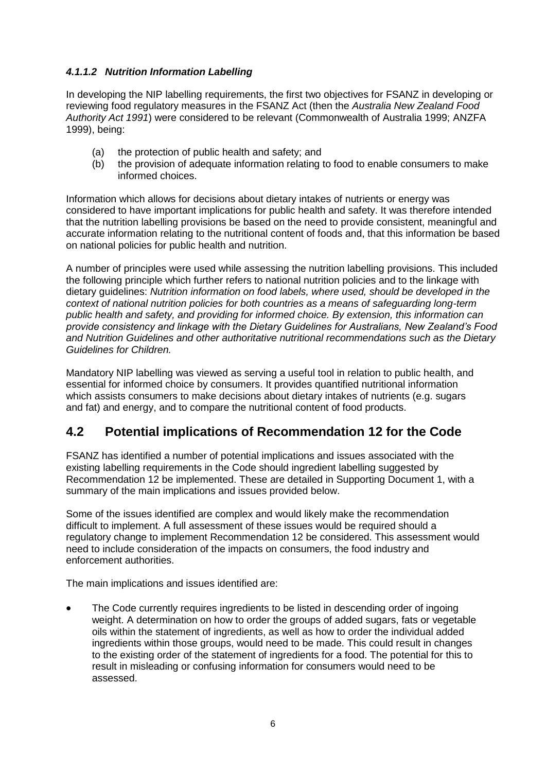#### *4.1.1.2 Nutrition Information Labelling*

In developing the NIP labelling requirements, the first two objectives for FSANZ in developing or reviewing food regulatory measures in the FSANZ Act (then the *Australia New Zealand Food Authority Act 1991*) were considered to be relevant (Commonwealth of Australia 1999; ANZFA 1999), being:

- (a) the protection of public health and safety; and
- (b) the provision of adequate information relating to food to enable consumers to make informed choices.

Information which allows for decisions about dietary intakes of nutrients or energy was considered to have important implications for public health and safety. It was therefore intended that the nutrition labelling provisions be based on the need to provide consistent, meaningful and accurate information relating to the nutritional content of foods and, that this information be based on national policies for public health and nutrition.

A number of principles were used while assessing the nutrition labelling provisions. This included the following principle which further refers to national nutrition policies and to the linkage with dietary guidelines: *Nutrition information on food labels, where used, should be developed in the context of national nutrition policies for both countries as a means of safeguarding long-term public health and safety, and providing for informed choice. By extension, this information can provide consistency and linkage with the Dietary Guidelines for Australians, New Zealand's Food and Nutrition Guidelines and other authoritative nutritional recommendations such as the Dietary Guidelines for Children.* 

Mandatory NIP labelling was viewed as serving a useful tool in relation to public health, and essential for informed choice by consumers. It provides quantified nutritional information which assists consumers to make decisions about dietary intakes of nutrients (e.g. sugars and fat) and energy, and to compare the nutritional content of food products.

### <span id="page-8-0"></span>**4.2 Potential implications of Recommendation 12 for the Code**

FSANZ has identified a number of potential implications and issues associated with the existing labelling requirements in the Code should ingredient labelling suggested by Recommendation 12 be implemented. These are detailed in Supporting Document 1, with a summary of the main implications and issues provided below.

Some of the issues identified are complex and would likely make the recommendation difficult to implement. A full assessment of these issues would be required should a regulatory change to implement Recommendation 12 be considered. This assessment would need to include consideration of the impacts on consumers, the food industry and enforcement authorities.

The main implications and issues identified are:

 The Code currently requires ingredients to be listed in descending order of ingoing weight. A determination on how to order the groups of added sugars, fats or vegetable oils within the statement of ingredients, as well as how to order the individual added ingredients within those groups, would need to be made. This could result in changes to the existing order of the statement of ingredients for a food. The potential for this to result in misleading or confusing information for consumers would need to be assessed.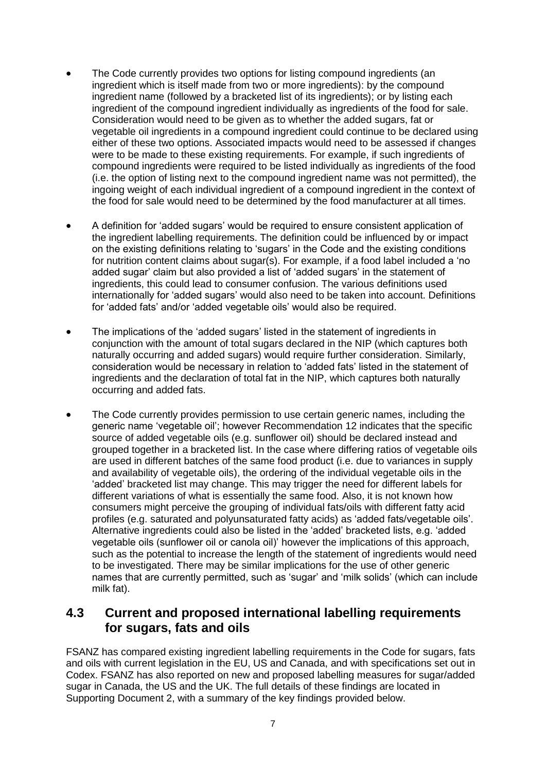- The Code currently provides two options for listing compound ingredients (an ingredient which is itself made from two or more ingredients): by the compound ingredient name (followed by a bracketed list of its ingredients); or by listing each ingredient of the compound ingredient individually as ingredients of the food for sale. Consideration would need to be given as to whether the added sugars, fat or vegetable oil ingredients in a compound ingredient could continue to be declared using either of these two options. Associated impacts would need to be assessed if changes were to be made to these existing requirements. For example, if such ingredients of compound ingredients were required to be listed individually as ingredients of the food (i.e. the option of listing next to the compound ingredient name was not permitted), the ingoing weight of each individual ingredient of a compound ingredient in the context of the food for sale would need to be determined by the food manufacturer at all times.
- A definition for 'added sugars' would be required to ensure consistent application of the ingredient labelling requirements. The definition could be influenced by or impact on the existing definitions relating to 'sugars' in the Code and the existing conditions for nutrition content claims about sugar(s). For example, if a food label included a 'no added sugar' claim but also provided a list of 'added sugars' in the statement of ingredients, this could lead to consumer confusion. The various definitions used internationally for 'added sugars' would also need to be taken into account. Definitions for 'added fats' and/or 'added vegetable oils' would also be required.
- The implications of the 'added sugars' listed in the statement of ingredients in conjunction with the amount of total sugars declared in the NIP (which captures both naturally occurring and added sugars) would require further consideration. Similarly, consideration would be necessary in relation to 'added fats' listed in the statement of ingredients and the declaration of total fat in the NIP, which captures both naturally occurring and added fats.
- The Code currently provides permission to use certain generic names, including the generic name 'vegetable oil'; however Recommendation 12 indicates that the specific source of added vegetable oils (e.g. sunflower oil) should be declared instead and grouped together in a bracketed list. In the case where differing ratios of vegetable oils are used in different batches of the same food product (i.e. due to variances in supply and availability of vegetable oils), the ordering of the individual vegetable oils in the 'added' bracketed list may change. This may trigger the need for different labels for different variations of what is essentially the same food. Also, it is not known how consumers might perceive the grouping of individual fats/oils with different fatty acid profiles (e.g. saturated and polyunsaturated fatty acids) as 'added fats/vegetable oils'. Alternative ingredients could also be listed in the 'added' bracketed lists, e.g. 'added vegetable oils (sunflower oil or canola oil)' however the implications of this approach, such as the potential to increase the length of the statement of ingredients would need to be investigated. There may be similar implications for the use of other generic names that are currently permitted, such as 'sugar' and 'milk solids' (which can include milk fat).

### <span id="page-9-0"></span>**4.3 Current and proposed international labelling requirements for sugars, fats and oils**

FSANZ has compared existing ingredient labelling requirements in the Code for sugars, fats and oils with current legislation in the EU, US and Canada, and with specifications set out in Codex. FSANZ has also reported on new and proposed labelling measures for sugar/added sugar in Canada, the US and the UK. The full details of these findings are located in Supporting Document 2, with a summary of the key findings provided below.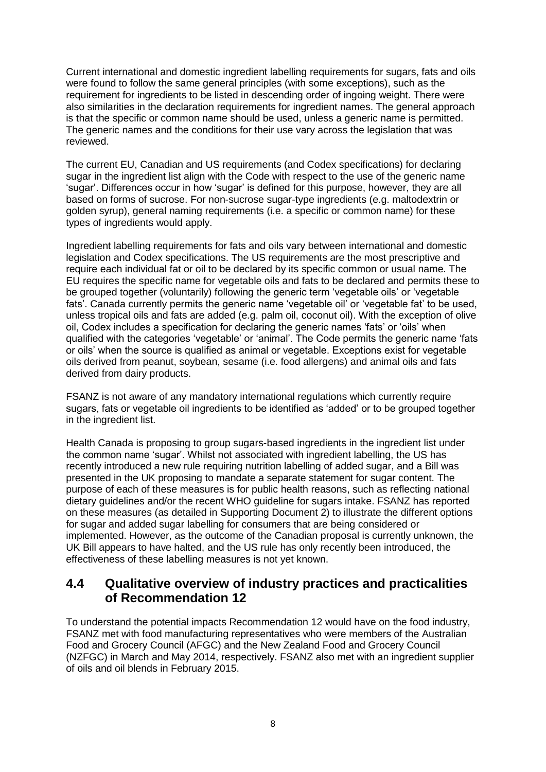Current international and domestic ingredient labelling requirements for sugars, fats and oils were found to follow the same general principles (with some exceptions), such as the requirement for ingredients to be listed in descending order of ingoing weight. There were also similarities in the declaration requirements for ingredient names. The general approach is that the specific or common name should be used, unless a generic name is permitted. The generic names and the conditions for their use vary across the legislation that was reviewed.

The current EU, Canadian and US requirements (and Codex specifications) for declaring sugar in the ingredient list align with the Code with respect to the use of the generic name 'sugar'. Differences occur in how 'sugar' is defined for this purpose, however, they are all based on forms of sucrose. For non-sucrose sugar-type ingredients (e.g. maltodextrin or golden syrup), general naming requirements (i.e. a specific or common name) for these types of ingredients would apply.

Ingredient labelling requirements for fats and oils vary between international and domestic legislation and Codex specifications. The US requirements are the most prescriptive and require each individual fat or oil to be declared by its specific common or usual name. The EU requires the specific name for vegetable oils and fats to be declared and permits these to be grouped together (voluntarily) following the generic term 'vegetable oils' or 'vegetable fats'. Canada currently permits the generic name 'vegetable oil' or 'vegetable fat' to be used, unless tropical oils and fats are added (e.g. palm oil, coconut oil). With the exception of olive oil, Codex includes a specification for declaring the generic names 'fats' or 'oils' when qualified with the categories 'vegetable' or 'animal'. The Code permits the generic name 'fats or oils' when the source is qualified as animal or vegetable. Exceptions exist for vegetable oils derived from peanut, soybean, sesame (i.e. food allergens) and animal oils and fats derived from dairy products.

FSANZ is not aware of any mandatory international regulations which currently require sugars, fats or vegetable oil ingredients to be identified as 'added' or to be grouped together in the ingredient list.

Health Canada is proposing to group sugars-based ingredients in the ingredient list under the common name 'sugar'. Whilst not associated with ingredient labelling, the US has recently introduced a new rule requiring nutrition labelling of added sugar, and a Bill was presented in the UK proposing to mandate a separate statement for sugar content. The purpose of each of these measures is for public health reasons, such as reflecting national dietary guidelines and/or the recent WHO guideline for sugars intake. FSANZ has reported on these measures (as detailed in Supporting Document 2) to illustrate the different options for sugar and added sugar labelling for consumers that are being considered or implemented. However, as the outcome of the Canadian proposal is currently unknown, the UK Bill appears to have halted, and the US rule has only recently been introduced, the effectiveness of these labelling measures is not yet known.

#### <span id="page-10-0"></span>**4.4 Qualitative overview of industry practices and practicalities of Recommendation 12**

To understand the potential impacts Recommendation 12 would have on the food industry, FSANZ met with food manufacturing representatives who were members of the Australian Food and Grocery Council (AFGC) and the New Zealand Food and Grocery Council (NZFGC) in March and May 2014, respectively. FSANZ also met with an ingredient supplier of oils and oil blends in February 2015.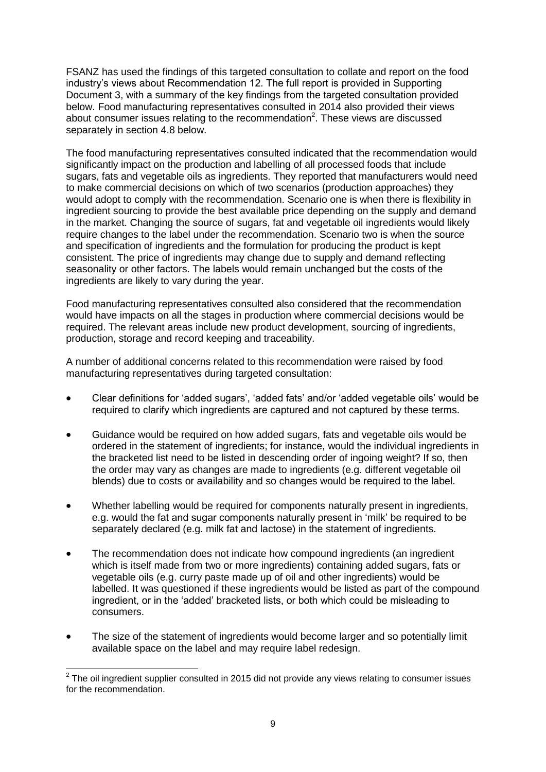FSANZ has used the findings of this targeted consultation to collate and report on the food industry's views about Recommendation 12. The full report is provided in Supporting Document 3, with a summary of the key findings from the targeted consultation provided below. Food manufacturing representatives consulted in 2014 also provided their views about consumer issues relating to the recommendation<sup>2</sup>. These views are discussed separately in section 4.8 below.

The food manufacturing representatives consulted indicated that the recommendation would significantly impact on the production and labelling of all processed foods that include sugars, fats and vegetable oils as ingredients. They reported that manufacturers would need to make commercial decisions on which of two scenarios (production approaches) they would adopt to comply with the recommendation. Scenario one is when there is flexibility in ingredient sourcing to provide the best available price depending on the supply and demand in the market. Changing the source of sugars, fat and vegetable oil ingredients would likely require changes to the label under the recommendation. Scenario two is when the source and specification of ingredients and the formulation for producing the product is kept consistent. The price of ingredients may change due to supply and demand reflecting seasonality or other factors. The labels would remain unchanged but the costs of the ingredients are likely to vary during the year.

Food manufacturing representatives consulted also considered that the recommendation would have impacts on all the stages in production where commercial decisions would be required. The relevant areas include new product development, sourcing of ingredients, production, storage and record keeping and traceability.

A number of additional concerns related to this recommendation were raised by food manufacturing representatives during targeted consultation:

- Clear definitions for 'added sugars', 'added fats' and/or 'added vegetable oils' would be required to clarify which ingredients are captured and not captured by these terms.
- Guidance would be required on how added sugars, fats and vegetable oils would be ordered in the statement of ingredients; for instance, would the individual ingredients in the bracketed list need to be listed in descending order of ingoing weight? If so, then the order may vary as changes are made to ingredients (e.g. different vegetable oil blends) due to costs or availability and so changes would be required to the label.
- Whether labelling would be required for components naturally present in ingredients, e.g. would the fat and sugar components naturally present in 'milk' be required to be separately declared (e.g. milk fat and lactose) in the statement of ingredients.
- The recommendation does not indicate how compound ingredients (an ingredient which is itself made from two or more ingredients) containing added sugars, fats or vegetable oils (e.g. curry paste made up of oil and other ingredients) would be labelled. It was questioned if these ingredients would be listed as part of the compound ingredient, or in the 'added' bracketed lists, or both which could be misleading to consumers.
- The size of the statement of ingredients would become larger and so potentially limit available space on the label and may require label redesign.

 $\overline{a}$ 

 $2$  The oil ingredient supplier consulted in 2015 did not provide any views relating to consumer issues for the recommendation.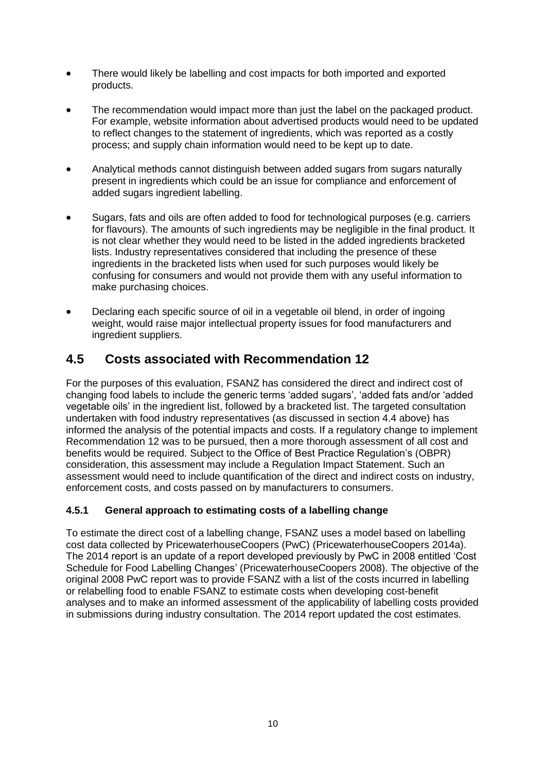- There would likely be labelling and cost impacts for both imported and exported products.
- The recommendation would impact more than just the label on the packaged product. For example, website information about advertised products would need to be updated to reflect changes to the statement of ingredients, which was reported as a costly process; and supply chain information would need to be kept up to date.
- Analytical methods cannot distinguish between added sugars from sugars naturally present in ingredients which could be an issue for compliance and enforcement of added sugars ingredient labelling.
- Sugars, fats and oils are often added to food for technological purposes (e.g. carriers for flavours). The amounts of such ingredients may be negligible in the final product. It is not clear whether they would need to be listed in the added ingredients bracketed lists. Industry representatives considered that including the presence of these ingredients in the bracketed lists when used for such purposes would likely be confusing for consumers and would not provide them with any useful information to make purchasing choices.
- Declaring each specific source of oil in a vegetable oil blend, in order of ingoing weight, would raise major intellectual property issues for food manufacturers and ingredient suppliers.

### <span id="page-12-0"></span>**4.5 Costs associated with Recommendation 12**

For the purposes of this evaluation, FSANZ has considered the direct and indirect cost of changing food labels to include the generic terms 'added sugars', 'added fats and/or 'added vegetable oils' in the ingredient list, followed by a bracketed list. The targeted consultation undertaken with food industry representatives (as discussed in section 4.4 above) has informed the analysis of the potential impacts and costs. If a regulatory change to implement Recommendation 12 was to be pursued, then a more thorough assessment of all cost and benefits would be required. Subject to the Office of Best Practice Regulation's (OBPR) consideration, this assessment may include a Regulation Impact Statement. Such an assessment would need to include quantification of the direct and indirect costs on industry, enforcement costs, and costs passed on by manufacturers to consumers.

#### **4.5.1 General approach to estimating costs of a labelling change**

To estimate the direct cost of a labelling change, FSANZ uses a model based on labelling cost data collected by PricewaterhouseCoopers (PwC) (PricewaterhouseCoopers 2014a). The 2014 report is an update of a report developed previously by PwC in 2008 entitled 'Cost Schedule for Food Labelling Changes' (PricewaterhouseCoopers 2008). The objective of the original 2008 PwC report was to provide FSANZ with a list of the costs incurred in labelling or relabelling food to enable FSANZ to estimate costs when developing cost-benefit analyses and to make an informed assessment of the applicability of labelling costs provided in submissions during industry consultation. The 2014 report updated the cost estimates.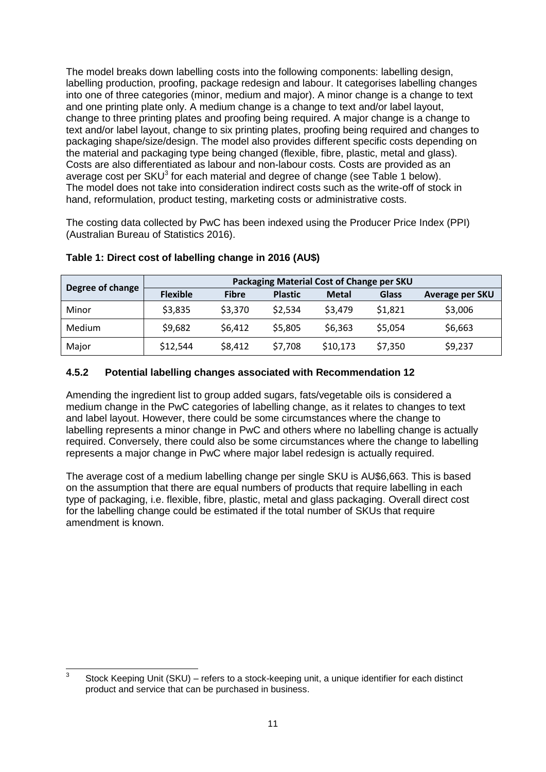The model breaks down labelling costs into the following components: labelling design, labelling production, proofing, package redesign and labour. It categorises labelling changes into one of three categories (minor, medium and major). A minor change is a change to text and one printing plate only. A medium change is a change to text and/or label layout, change to three printing plates and proofing being required. A major change is a change to text and/or label layout, change to six printing plates, proofing being required and changes to packaging shape/size/design. The model also provides different specific costs depending on the material and packaging type being changed (flexible, fibre, plastic, metal and glass). Costs are also differentiated as labour and non-labour costs. Costs are provided as an average cost per SKU $3$  for each material and degree of change (see Table 1 below). The model does not take into consideration indirect costs such as the write-off of stock in hand, reformulation, product testing, marketing costs or administrative costs.

The costing data collected by PwC has been indexed using the Producer Price Index (PPI) (Australian Bureau of Statistics 2016).

|                  | Packaging Material Cost of Change per SKU |              |                |              |              |                 |  |
|------------------|-------------------------------------------|--------------|----------------|--------------|--------------|-----------------|--|
| Degree of change | <b>Flexible</b>                           | <b>Fibre</b> | <b>Plastic</b> | <b>Metal</b> | <b>Glass</b> | Average per SKU |  |
| Minor            | \$3,835                                   | \$3,370      | \$2,534        | \$3,479      | \$1,821      | \$3,006         |  |
| Medium           | \$9,682                                   | \$6,412      | \$5,805        | \$6,363      | \$5,054      | \$6,663         |  |
| Major            | \$12,544                                  | \$8,412      | \$7,708        | \$10,173     | \$7,350      | \$9,237         |  |

#### **Table 1: Direct cost of labelling change in 2016 (AU\$)**

#### **4.5.2 Potential labelling changes associated with Recommendation 12**

Amending the ingredient list to group added sugars, fats/vegetable oils is considered a medium change in the PwC categories of labelling change, as it relates to changes to text and label layout. However, there could be some circumstances where the change to labelling represents a minor change in PwC and others where no labelling change is actually required. Conversely, there could also be some circumstances where the change to labelling represents a major change in PwC where major label redesign is actually required.

The average cost of a medium labelling change per single SKU is AU\$6,663. This is based on the assumption that there are equal numbers of products that require labelling in each type of packaging, i.e. flexible, fibre, plastic, metal and glass packaging. Overall direct cost for the labelling change could be estimated if the total number of SKUs that require amendment is known.

 $\frac{1}{3}$ Stock Keeping Unit (SKU) – refers to a stock-keeping unit, a unique identifier for each distinct product and service that can be purchased in business.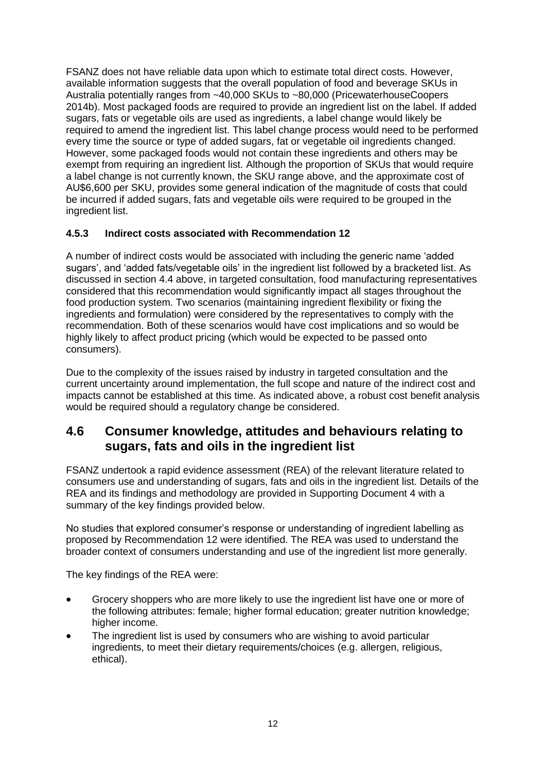FSANZ does not have reliable data upon which to estimate total direct costs. However, available information suggests that the overall population of food and beverage SKUs in Australia potentially ranges from ~40,000 SKUs to ~80,000 (PricewaterhouseCoopers 2014b). Most packaged foods are required to provide an ingredient list on the label. If added sugars, fats or vegetable oils are used as ingredients, a label change would likely be required to amend the ingredient list. This label change process would need to be performed every time the source or type of added sugars, fat or vegetable oil ingredients changed. However, some packaged foods would not contain these ingredients and others may be exempt from requiring an ingredient list. Although the proportion of SKUs that would require a label change is not currently known, the SKU range above, and the approximate cost of AU\$6,600 per SKU, provides some general indication of the magnitude of costs that could be incurred if added sugars, fats and vegetable oils were required to be grouped in the ingredient list.

#### **4.5.3 Indirect costs associated with Recommendation 12**

A number of indirect costs would be associated with including the generic name 'added sugars', and 'added fats/vegetable oils' in the ingredient list followed by a bracketed list. As discussed in section 4.4 above, in targeted consultation, food manufacturing representatives considered that this recommendation would significantly impact all stages throughout the food production system. Two scenarios (maintaining ingredient flexibility or fixing the ingredients and formulation) were considered by the representatives to comply with the recommendation. Both of these scenarios would have cost implications and so would be highly likely to affect product pricing (which would be expected to be passed onto consumers).

Due to the complexity of the issues raised by industry in targeted consultation and the current uncertainty around implementation, the full scope and nature of the indirect cost and impacts cannot be established at this time. As indicated above, a robust cost benefit analysis would be required should a requiatory change be considered.

#### <span id="page-14-0"></span>**4.6 Consumer knowledge, attitudes and behaviours relating to sugars, fats and oils in the ingredient list**

FSANZ undertook a rapid evidence assessment (REA) of the relevant literature related to consumers use and understanding of sugars, fats and oils in the ingredient list. Details of the REA and its findings and methodology are provided in Supporting Document 4 with a summary of the key findings provided below.

No studies that explored consumer's response or understanding of ingredient labelling as proposed by Recommendation 12 were identified. The REA was used to understand the broader context of consumers understanding and use of the ingredient list more generally.

The key findings of the REA were:

- Grocery shoppers who are more likely to use the ingredient list have one or more of the following attributes: female; higher formal education; greater nutrition knowledge; higher income.
- The ingredient list is used by consumers who are wishing to avoid particular ingredients, to meet their dietary requirements/choices (e.g. allergen, religious, ethical).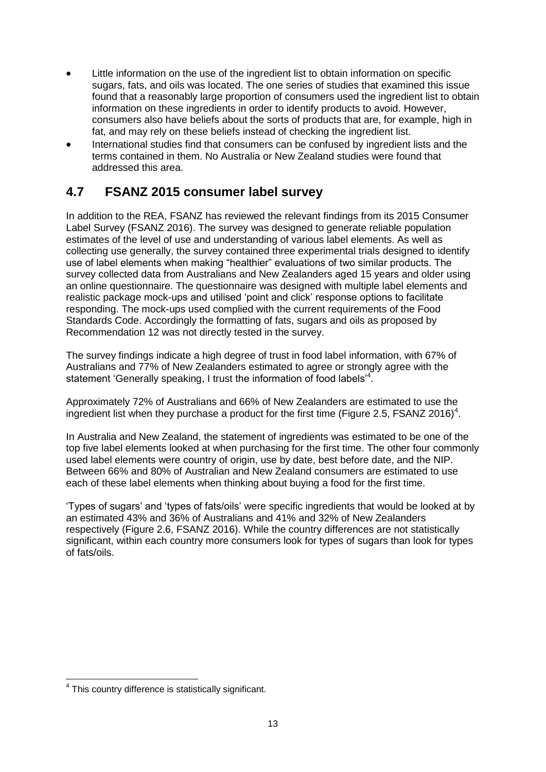- Little information on the use of the ingredient list to obtain information on specific sugars, fats, and oils was located. The one series of studies that examined this issue found that a reasonably large proportion of consumers used the ingredient list to obtain information on these ingredients in order to identify products to avoid. However, consumers also have beliefs about the sorts of products that are, for example, high in fat, and may rely on these beliefs instead of checking the ingredient list.
- International studies find that consumers can be confused by ingredient lists and the terms contained in them. No Australia or New Zealand studies were found that addressed this area.

## <span id="page-15-0"></span>**4.7 FSANZ 2015 consumer label survey**

In addition to the REA, FSANZ has reviewed the relevant findings from its 2015 Consumer Label Survey (FSANZ 2016). The survey was designed to generate reliable population estimates of the level of use and understanding of various label elements. As well as collecting use generally, the survey contained three experimental trials designed to identify use of label elements when making "healthier" evaluations of two similar products. The survey collected data from Australians and New Zealanders aged 15 years and older using an online questionnaire. The questionnaire was designed with multiple label elements and realistic package mock-ups and utilised 'point and click' response options to facilitate responding. The mock-ups used complied with the current requirements of the Food Standards Code. Accordingly the formatting of fats, sugars and oils as proposed by Recommendation 12 was not directly tested in the survey.

The survey findings indicate a high degree of trust in food label information, with 67% of Australians and 77% of New Zealanders estimated to agree or strongly agree with the statement 'Generally speaking, I trust the information of food labels'<sup>4</sup>.

Approximately 72% of Australians and 66% of New Zealanders are estimated to use the ingredient list when they purchase a product for the first time (Figure 2.5, FSANZ 2016)<sup>4</sup>.

In Australia and New Zealand, the statement of ingredients was estimated to be one of the top five label elements looked at when purchasing for the first time. The other four commonly used label elements were country of origin, use by date, best before date, and the NIP. Between 66% and 80% of Australian and New Zealand consumers are estimated to use each of these label elements when thinking about buying a food for the first time.

'Types of sugars' and 'types of fats/oils' were specific ingredients that would be looked at by an estimated 43% and 36% of Australians and 41% and 32% of New Zealanders respectively (Figure 2.6, FSANZ 2016). While the country differences are not statistically significant, within each country more consumers look for types of sugars than look for types of fats/oils.

<sup>-</sup><sup>4</sup> This country difference is statistically significant.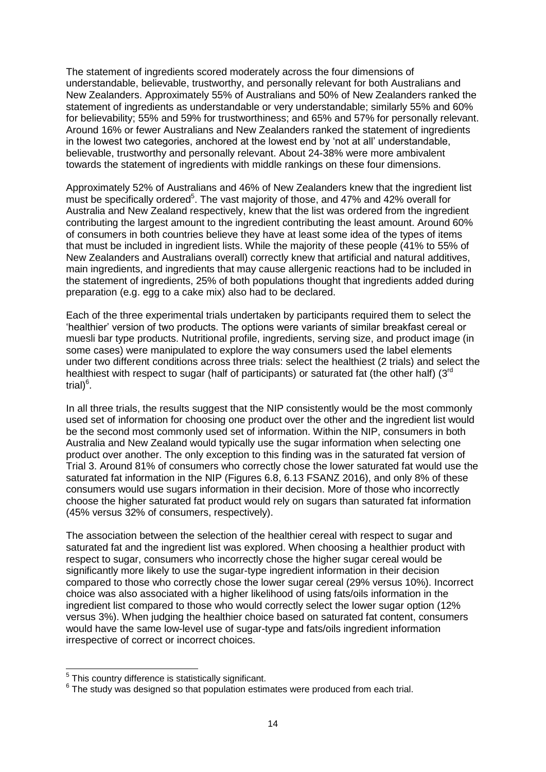The statement of ingredients scored moderately across the four dimensions of understandable, believable, trustworthy, and personally relevant for both Australians and New Zealanders. Approximately 55% of Australians and 50% of New Zealanders ranked the statement of ingredients as understandable or very understandable; similarly 55% and 60% for believability; 55% and 59% for trustworthiness; and 65% and 57% for personally relevant. Around 16% or fewer Australians and New Zealanders ranked the statement of ingredients in the lowest two categories, anchored at the lowest end by 'not at all' understandable, believable, trustworthy and personally relevant. About 24-38% were more ambivalent towards the statement of ingredients with middle rankings on these four dimensions.

Approximately 52% of Australians and 46% of New Zealanders knew that the ingredient list must be specifically ordered<sup>5</sup>. The vast majority of those, and 47% and 42% overall for Australia and New Zealand respectively, knew that the list was ordered from the ingredient contributing the largest amount to the ingredient contributing the least amount. Around 60% of consumers in both countries believe they have at least some idea of the types of items that must be included in ingredient lists. While the majority of these people (41% to 55% of New Zealanders and Australians overall) correctly knew that artificial and natural additives, main ingredients, and ingredients that may cause allergenic reactions had to be included in the statement of ingredients, 25% of both populations thought that ingredients added during preparation (e.g. egg to a cake mix) also had to be declared.

Each of the three experimental trials undertaken by participants required them to select the 'healthier' version of two products. The options were variants of similar breakfast cereal or muesli bar type products. Nutritional profile, ingredients, serving size, and product image (in some cases) were manipulated to explore the way consumers used the label elements under two different conditions across three trials: select the healthiest (2 trials) and select the healthiest with respect to sugar (half of participants) or saturated fat (the other half) (3<sup>rd</sup> trial)<sup>6</sup>.

In all three trials, the results suggest that the NIP consistently would be the most commonly used set of information for choosing one product over the other and the ingredient list would be the second most commonly used set of information. Within the NIP, consumers in both Australia and New Zealand would typically use the sugar information when selecting one product over another. The only exception to this finding was in the saturated fat version of Trial 3. Around 81% of consumers who correctly chose the lower saturated fat would use the saturated fat information in the NIP (Figures 6.8, 6.13 FSANZ 2016), and only 8% of these consumers would use sugars information in their decision. More of those who incorrectly choose the higher saturated fat product would rely on sugars than saturated fat information (45% versus 32% of consumers, respectively).

The association between the selection of the healthier cereal with respect to sugar and saturated fat and the ingredient list was explored. When choosing a healthier product with respect to sugar, consumers who incorrectly chose the higher sugar cereal would be significantly more likely to use the sugar-type ingredient information in their decision compared to those who correctly chose the lower sugar cereal (29% versus 10%). Incorrect choice was also associated with a higher likelihood of using fats/oils information in the ingredient list compared to those who would correctly select the lower sugar option (12% versus 3%). When judging the healthier choice based on saturated fat content, consumers would have the same low-level use of sugar-type and fats/oils ingredient information irrespective of correct or incorrect choices.

 5 This country difference is statistically significant.

 $6$  The study was designed so that population estimates were produced from each trial.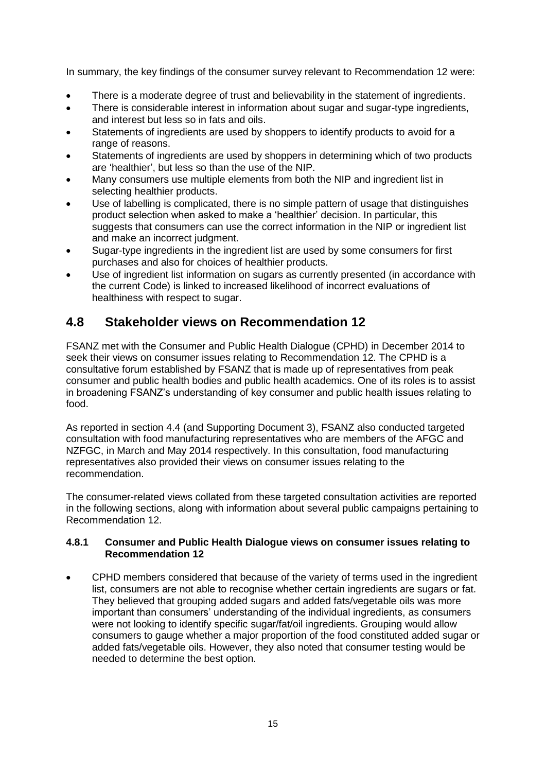In summary, the key findings of the consumer survey relevant to Recommendation 12 were:

- There is a moderate degree of trust and believability in the statement of ingredients.
- There is considerable interest in information about sugar and sugar-type ingredients, and interest but less so in fats and oils.
- Statements of ingredients are used by shoppers to identify products to avoid for a range of reasons.
- Statements of ingredients are used by shoppers in determining which of two products are 'healthier', but less so than the use of the NIP.
- Many consumers use multiple elements from both the NIP and ingredient list in selecting healthier products.
- Use of labelling is complicated, there is no simple pattern of usage that distinguishes product selection when asked to make a 'healthier' decision. In particular, this suggests that consumers can use the correct information in the NIP or ingredient list and make an incorrect judgment.
- Sugar-type ingredients in the ingredient list are used by some consumers for first purchases and also for choices of healthier products.
- Use of ingredient list information on sugars as currently presented (in accordance with the current Code) is linked to increased likelihood of incorrect evaluations of healthiness with respect to sugar.

### <span id="page-17-0"></span>**4.8 Stakeholder views on Recommendation 12**

FSANZ met with the Consumer and Public Health Dialogue (CPHD) in December 2014 to seek their views on consumer issues relating to Recommendation 12. The CPHD is a consultative forum established by FSANZ that is made up of representatives from peak consumer and public health bodies and public health academics. One of its roles is to assist in broadening FSANZ's understanding of key consumer and public health issues relating to food.

As reported in section 4.4 (and Supporting Document 3), FSANZ also conducted targeted consultation with food manufacturing representatives who are members of the AFGC and NZFGC, in March and May 2014 respectively. In this consultation, food manufacturing representatives also provided their views on consumer issues relating to the recommendation.

The consumer-related views collated from these targeted consultation activities are reported in the following sections, along with information about several public campaigns pertaining to Recommendation 12.

#### **4.8.1 Consumer and Public Health Dialogue views on consumer issues relating to Recommendation 12**

 CPHD members considered that because of the variety of terms used in the ingredient list, consumers are not able to recognise whether certain ingredients are sugars or fat. They believed that grouping added sugars and added fats/vegetable oils was more important than consumers' understanding of the individual ingredients, as consumers were not looking to identify specific sugar/fat/oil ingredients. Grouping would allow consumers to gauge whether a major proportion of the food constituted added sugar or added fats/vegetable oils. However, they also noted that consumer testing would be needed to determine the best option.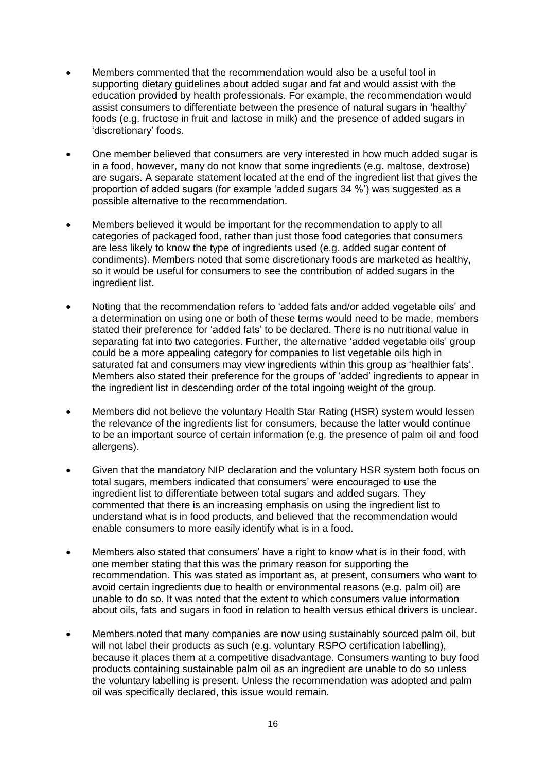- Members commented that the recommendation would also be a useful tool in supporting dietary guidelines about added sugar and fat and would assist with the education provided by health professionals. For example, the recommendation would assist consumers to differentiate between the presence of natural sugars in 'healthy' foods (e.g. fructose in fruit and lactose in milk) and the presence of added sugars in 'discretionary' foods.
- One member believed that consumers are very interested in how much added sugar is in a food, however, many do not know that some ingredients (e.g. maltose, dextrose) are sugars. A separate statement located at the end of the ingredient list that gives the proportion of added sugars (for example 'added sugars 34 %') was suggested as a possible alternative to the recommendation.
- Members believed it would be important for the recommendation to apply to all categories of packaged food, rather than just those food categories that consumers are less likely to know the type of ingredients used (e.g. added sugar content of condiments). Members noted that some discretionary foods are marketed as healthy, so it would be useful for consumers to see the contribution of added sugars in the ingredient list.
- Noting that the recommendation refers to 'added fats and/or added vegetable oils' and a determination on using one or both of these terms would need to be made, members stated their preference for 'added fats' to be declared. There is no nutritional value in separating fat into two categories. Further, the alternative 'added vegetable oils' group could be a more appealing category for companies to list vegetable oils high in saturated fat and consumers may view ingredients within this group as 'healthier fats'. Members also stated their preference for the groups of 'added' ingredients to appear in the ingredient list in descending order of the total ingoing weight of the group.
- Members did not believe the voluntary Health Star Rating (HSR) system would lessen the relevance of the ingredients list for consumers, because the latter would continue to be an important source of certain information (e.g. the presence of palm oil and food allergens).
- Given that the mandatory NIP declaration and the voluntary HSR system both focus on total sugars, members indicated that consumers' were encouraged to use the ingredient list to differentiate between total sugars and added sugars. They commented that there is an increasing emphasis on using the ingredient list to understand what is in food products, and believed that the recommendation would enable consumers to more easily identify what is in a food.
- Members also stated that consumers' have a right to know what is in their food, with one member stating that this was the primary reason for supporting the recommendation. This was stated as important as, at present, consumers who want to avoid certain ingredients due to health or environmental reasons (e.g. palm oil) are unable to do so. It was noted that the extent to which consumers value information about oils, fats and sugars in food in relation to health versus ethical drivers is unclear.
- Members noted that many companies are now using sustainably sourced palm oil, but will not label their products as such (e.g. voluntary RSPO certification labelling), because it places them at a competitive disadvantage. Consumers wanting to buy food products containing sustainable palm oil as an ingredient are unable to do so unless the voluntary labelling is present. Unless the recommendation was adopted and palm oil was specifically declared, this issue would remain.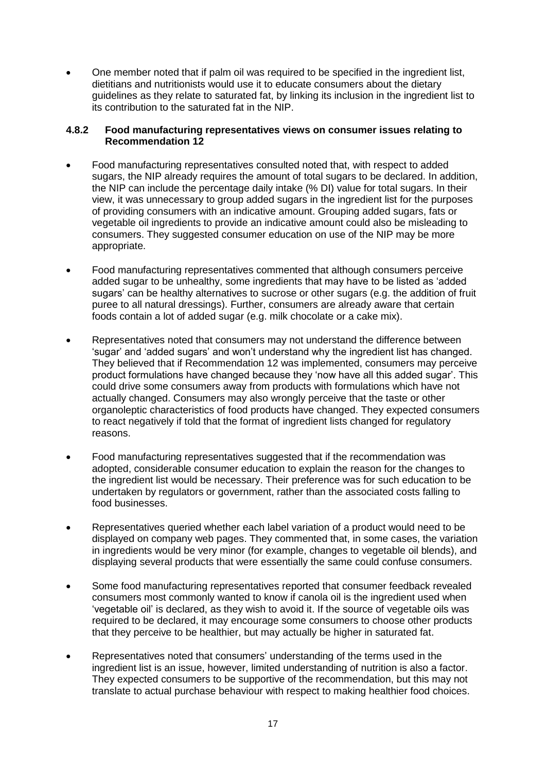One member noted that if palm oil was required to be specified in the ingredient list, dietitians and nutritionists would use it to educate consumers about the dietary guidelines as they relate to saturated fat, by linking its inclusion in the ingredient list to its contribution to the saturated fat in the NIP.

#### **4.8.2 Food manufacturing representatives views on consumer issues relating to Recommendation 12**

- Food manufacturing representatives consulted noted that, with respect to added sugars, the NIP already requires the amount of total sugars to be declared. In addition, the NIP can include the percentage daily intake (% DI) value for total sugars. In their view, it was unnecessary to group added sugars in the ingredient list for the purposes of providing consumers with an indicative amount. Grouping added sugars, fats or vegetable oil ingredients to provide an indicative amount could also be misleading to consumers. They suggested consumer education on use of the NIP may be more appropriate.
- Food manufacturing representatives commented that although consumers perceive added sugar to be unhealthy, some ingredients that may have to be listed as 'added sugars' can be healthy alternatives to sucrose or other sugars (e.g. the addition of fruit puree to all natural dressings). Further, consumers are already aware that certain foods contain a lot of added sugar (e.g. milk chocolate or a cake mix).
- Representatives noted that consumers may not understand the difference between 'sugar' and 'added sugars' and won't understand why the ingredient list has changed. They believed that if Recommendation 12 was implemented, consumers may perceive product formulations have changed because they 'now have all this added sugar'. This could drive some consumers away from products with formulations which have not actually changed. Consumers may also wrongly perceive that the taste or other organoleptic characteristics of food products have changed. They expected consumers to react negatively if told that the format of ingredient lists changed for regulatory reasons.
- Food manufacturing representatives suggested that if the recommendation was adopted, considerable consumer education to explain the reason for the changes to the ingredient list would be necessary. Their preference was for such education to be undertaken by regulators or government, rather than the associated costs falling to food businesses.
- Representatives queried whether each label variation of a product would need to be displayed on company web pages. They commented that, in some cases, the variation in ingredients would be very minor (for example, changes to vegetable oil blends), and displaying several products that were essentially the same could confuse consumers.
- Some food manufacturing representatives reported that consumer feedback revealed consumers most commonly wanted to know if canola oil is the ingredient used when 'vegetable oil' is declared, as they wish to avoid it. If the source of vegetable oils was required to be declared, it may encourage some consumers to choose other products that they perceive to be healthier, but may actually be higher in saturated fat.
- Representatives noted that consumers' understanding of the terms used in the ingredient list is an issue, however, limited understanding of nutrition is also a factor. They expected consumers to be supportive of the recommendation, but this may not translate to actual purchase behaviour with respect to making healthier food choices.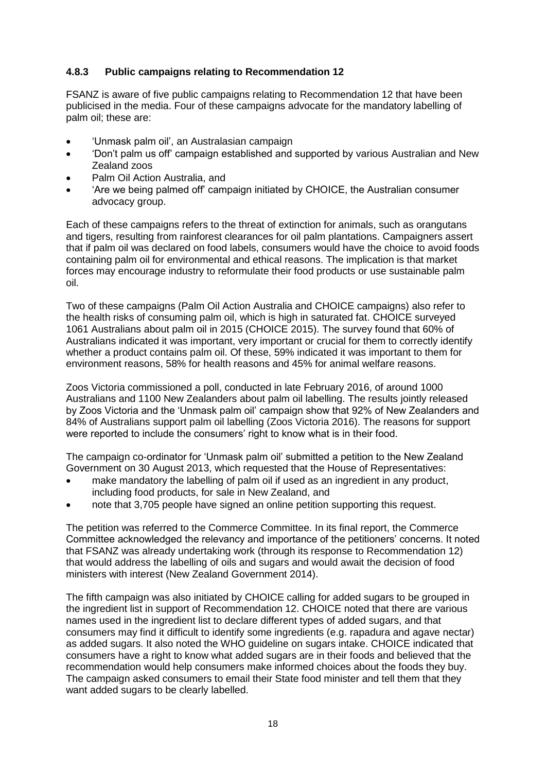#### **4.8.3 Public campaigns relating to Recommendation 12**

FSANZ is aware of five public campaigns relating to Recommendation 12 that have been publicised in the media. Four of these campaigns advocate for the mandatory labelling of palm oil; these are:

- 'Unmask palm oil', an Australasian campaign
- 'Don't palm us off' campaign established and supported by various Australian and New Zealand zoos
- Palm Oil Action Australia, and
- 'Are we being palmed off' campaign initiated by CHOICE, the Australian consumer advocacy group.

Each of these campaigns refers to the threat of extinction for animals, such as orangutans and tigers, resulting from rainforest clearances for oil palm plantations. Campaigners assert that if palm oil was declared on food labels, consumers would have the choice to avoid foods containing palm oil for environmental and ethical reasons. The implication is that market forces may encourage industry to reformulate their food products or use sustainable palm oil.

Two of these campaigns (Palm Oil Action Australia and CHOICE campaigns) also refer to the health risks of consuming palm oil, which is high in saturated fat. CHOICE surveyed 1061 Australians about palm oil in 2015 (CHOICE 2015). The survey found that 60% of Australians indicated it was important, very important or crucial for them to correctly identify whether a product contains palm oil. Of these, 59% indicated it was important to them for environment reasons, 58% for health reasons and 45% for animal welfare reasons.

Zoos Victoria commissioned a poll, conducted in late February 2016, of around 1000 Australians and 1100 New Zealanders about palm oil labelling. The results jointly released by Zoos Victoria and the 'Unmask palm oil' campaign show that 92% of New Zealanders and 84% of Australians support palm oil labelling (Zoos Victoria 2016). The reasons for support were reported to include the consumers' right to know what is in their food.

The campaign co-ordinator for 'Unmask palm oil' submitted a petition to the New Zealand Government on 30 August 2013, which requested that the House of Representatives:

- make mandatory the labelling of palm oil if used as an ingredient in any product, including food products, for sale in New Zealand, and
- note that 3,705 people have signed an online petition supporting this request.

The petition was referred to the Commerce Committee. In its final report, the Commerce Committee acknowledged the relevancy and importance of the petitioners' concerns. It noted that FSANZ was already undertaking work (through its response to Recommendation 12) that would address the labelling of oils and sugars and would await the decision of food ministers with interest (New Zealand Government 2014).

The fifth campaign was also initiated by CHOICE calling for added sugars to be grouped in the ingredient list in support of Recommendation 12. CHOICE noted that there are various names used in the ingredient list to declare different types of added sugars, and that consumers may find it difficult to identify some ingredients (e.g. rapadura and agave nectar) as added sugars. It also noted the WHO guideline on sugars intake. CHOICE indicated that consumers have a right to know what added sugars are in their foods and believed that the recommendation would help consumers make informed choices about the foods they buy. The campaign asked consumers to email their State food minister and tell them that they want added sugars to be clearly labelled.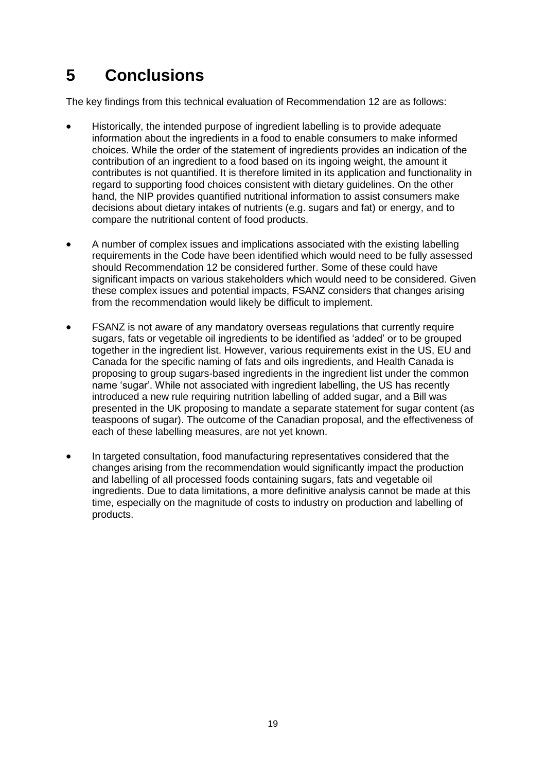# <span id="page-21-0"></span>**5 Conclusions**

The key findings from this technical evaluation of Recommendation 12 are as follows:

- Historically, the intended purpose of ingredient labelling is to provide adequate information about the ingredients in a food to enable consumers to make informed choices. While the order of the statement of ingredients provides an indication of the contribution of an ingredient to a food based on its ingoing weight, the amount it contributes is not quantified. It is therefore limited in its application and functionality in regard to supporting food choices consistent with dietary guidelines. On the other hand, the NIP provides quantified nutritional information to assist consumers make decisions about dietary intakes of nutrients (e.g. sugars and fat) or energy, and to compare the nutritional content of food products.
- A number of complex issues and implications associated with the existing labelling requirements in the Code have been identified which would need to be fully assessed should Recommendation 12 be considered further. Some of these could have significant impacts on various stakeholders which would need to be considered. Given these complex issues and potential impacts, FSANZ considers that changes arising from the recommendation would likely be difficult to implement.
- FSANZ is not aware of any mandatory overseas regulations that currently require sugars, fats or vegetable oil ingredients to be identified as 'added' or to be grouped together in the ingredient list. However, various requirements exist in the US, EU and Canada for the specific naming of fats and oils ingredients, and Health Canada is proposing to group sugars-based ingredients in the ingredient list under the common name 'sugar'. While not associated with ingredient labelling, the US has recently introduced a new rule requiring nutrition labelling of added sugar, and a Bill was presented in the UK proposing to mandate a separate statement for sugar content (as teaspoons of sugar). The outcome of the Canadian proposal, and the effectiveness of each of these labelling measures, are not yet known.
- In targeted consultation, food manufacturing representatives considered that the changes arising from the recommendation would significantly impact the production and labelling of all processed foods containing sugars, fats and vegetable oil ingredients. Due to data limitations, a more definitive analysis cannot be made at this time, especially on the magnitude of costs to industry on production and labelling of products.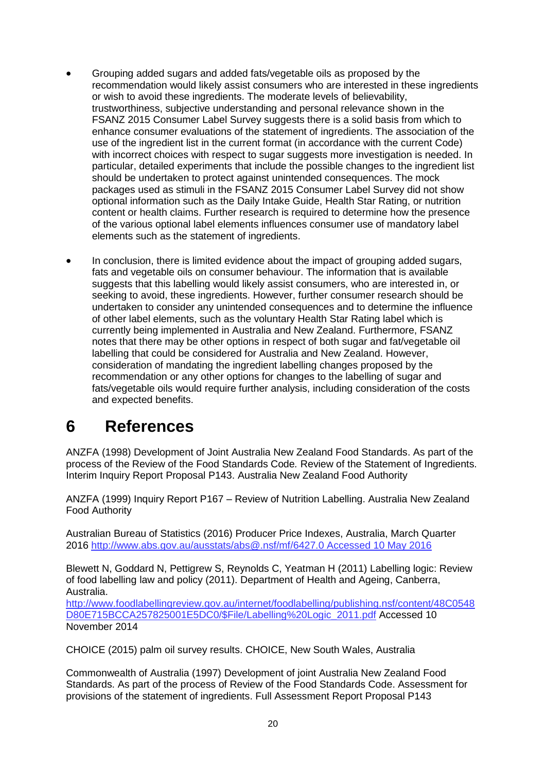- Grouping added sugars and added fats/vegetable oils as proposed by the recommendation would likely assist consumers who are interested in these ingredients or wish to avoid these ingredients. The moderate levels of believability, trustworthiness, subjective understanding and personal relevance shown in the FSANZ 2015 Consumer Label Survey suggests there is a solid basis from which to enhance consumer evaluations of the statement of ingredients. The association of the use of the ingredient list in the current format (in accordance with the current Code) with incorrect choices with respect to sugar suggests more investigation is needed. In particular, detailed experiments that include the possible changes to the ingredient list should be undertaken to protect against unintended consequences. The mock packages used as stimuli in the FSANZ 2015 Consumer Label Survey did not show optional information such as the Daily Intake Guide, Health Star Rating, or nutrition content or health claims. Further research is required to determine how the presence of the various optional label elements influences consumer use of mandatory label elements such as the statement of ingredients.
- In conclusion, there is limited evidence about the impact of grouping added sugars, fats and vegetable oils on consumer behaviour. The information that is available suggests that this labelling would likely assist consumers, who are interested in, or seeking to avoid, these ingredients. However, further consumer research should be undertaken to consider any unintended consequences and to determine the influence of other label elements, such as the voluntary Health Star Rating label which is currently being implemented in Australia and New Zealand. Furthermore, FSANZ notes that there may be other options in respect of both sugar and fat/vegetable oil labelling that could be considered for Australia and New Zealand. However, consideration of mandating the ingredient labelling changes proposed by the recommendation or any other options for changes to the labelling of sugar and fats/vegetable oils would require further analysis, including consideration of the costs and expected benefits.

## <span id="page-22-0"></span>**6 References**

ANZFA (1998) Development of Joint Australia New Zealand Food Standards. As part of the process of the Review of the Food Standards Code*.* Review of the Statement of Ingredients. Interim Inquiry Report Proposal P143. Australia New Zealand Food Authority

ANZFA (1999) Inquiry Report P167 – Review of Nutrition Labelling. Australia New Zealand Food Authority

Australian Bureau of Statistics (2016) Producer Price Indexes, Australia, March Quarter 2016 [http://www.abs.gov.au/ausstats/abs@.nsf/mf/6427.0 Accessed 10 May 2016](http://www.abs.gov.au/ausstats/abs@.nsf/mf/6427.0%20Accessed%2010%20May%202016)

Blewett N, Goddard N, Pettigrew S, Reynolds C, Yeatman H (2011) Labelling logic: Review of food labelling law and policy (2011). Department of Health and Ageing, Canberra, Australia.

[http://www.foodlabellingreview.gov.au/internet/foodlabelling/publishing.nsf/content/48C0548](http://www.foodlabellingreview.gov.au/internet/foodlabelling/publishing.nsf/content/48C0548D80E715BCCA257825001E5DC0/$File/Labelling%20Logic_2011.pdf) [D80E715BCCA257825001E5DC0/\\$File/Labelling%20Logic\\_2011.pdf](http://www.foodlabellingreview.gov.au/internet/foodlabelling/publishing.nsf/content/48C0548D80E715BCCA257825001E5DC0/$File/Labelling%20Logic_2011.pdf) Accessed 10 November 2014

CHOICE (2015) palm oil survey results. CHOICE, New South Wales, Australia

Commonwealth of Australia (1997) Development of joint Australia New Zealand Food Standards. As part of the process of Review of the Food Standards Code. Assessment for provisions of the statement of ingredients. Full Assessment Report Proposal P143